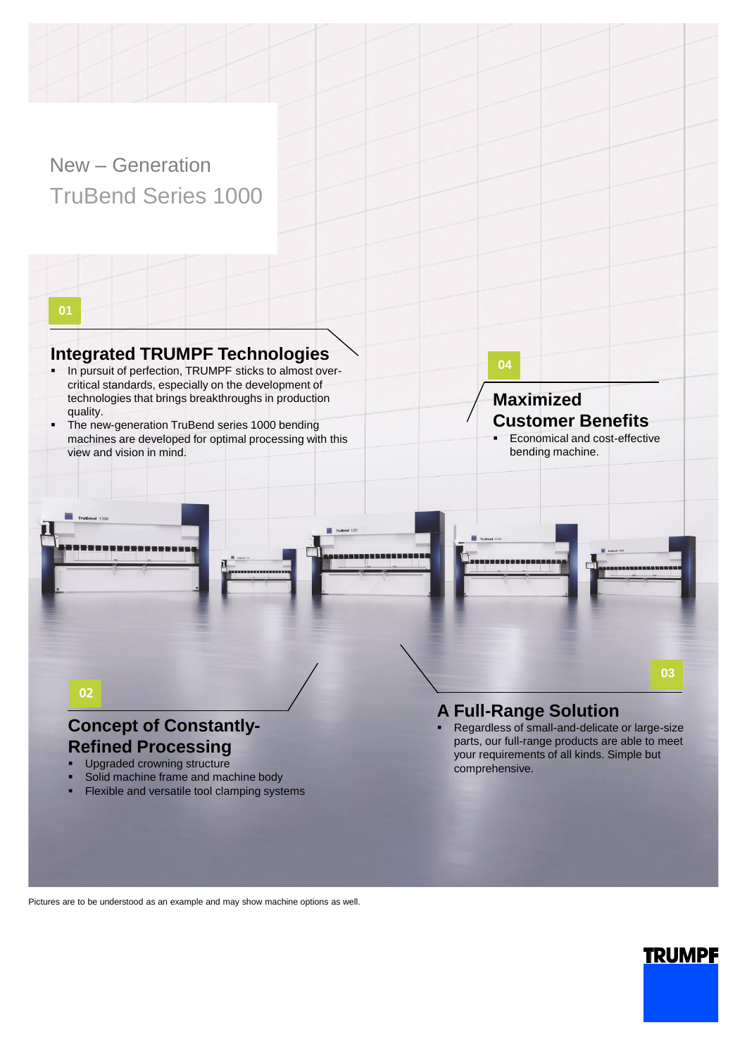### New – Generation TruBend Series 1000

**01**

#### **Integrated TRUMPF Technologies**

- In pursuit of perfection, TRUMPF sticks to almost overcritical standards, especially on the development of technologies that brings breakthroughs in production quality.
- The new-generation TruBend series 1000 bending machines are developed for optimal processing with this view and vision in mind.

**04**

#### **Maximized Customer Benefits** Economical and cost-effective

bending machine.

#### **A Full-Range Solution**

Regardless of small-and-delicate or large-size parts, our full-range products are able to meet your requirements of all kinds. Simple but comprehensive.

# Flexible and versatile tool clamping systems

Solid machine frame and machine body

**Concept of Constantly-Refined Processing** Upgraded crowning structure

02

TruBend 132

Pictures are to be understood as an example and may show machine options as well.

# **TRUMPF**

**03**